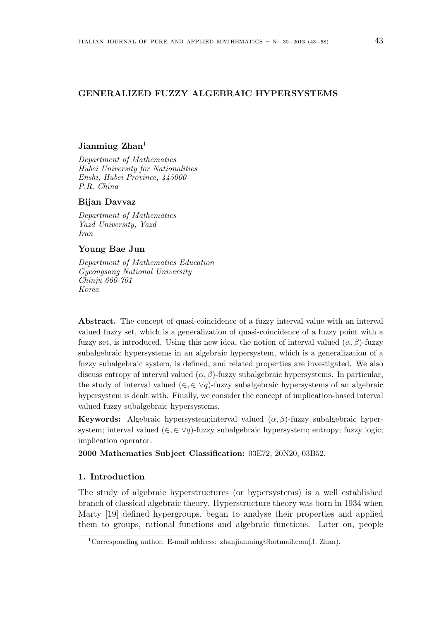# **GENERALIZED FUZZY ALGEBRAIC HYPERSYSTEMS**

# **Jianming Zhan**<sup>1</sup>

*Department of Mathematics Hubei University for Nationalities Enshi, Hubei Province, 445000 P.R. China*

## **Bijan Davvaz**

*Department of Mathematics Yazd University, Yazd Iran*

## **Young Bae Jun**

*Department of Mathematics Education Gyeongsang National University Chinju 660-701 Korea*

Abstract. The concept of quasi-coincidence of a fuzzy interval value with an interval valued fuzzy set, which is a generalization of quasi-coincidence of a fuzzy point with a fuzzy set, is introduced. Using this new idea, the notion of interval valued  $(\alpha, \beta)$ -fuzzy subalgebraic hypersystems in an algebraic hypersystem, which is a generalization of a fuzzy subalgebraic system, is defined, and related properties are investigated. We also discuss entropy of interval valued  $(\alpha, \beta)$ -fuzzy subalgebraic hypersystems. In particular, the study of interval valued (*∈, ∈ ∨q*)-fuzzy subalgebraic hypersystems of an algebraic hypersystem is dealt with. Finally, we consider the concept of implication-based interval valued fuzzy subalgebraic hypersystems.

**Keywords:** Algebraic hypersystem;interval valued (*α, β*)-fuzzy subalgebraic hypersystem; interval valued (*∈, ∈ ∨q*)-fuzzy subalgebraic hypersystem; entropy; fuzzy logic; implication operator.

**2000 Mathematics Subject Classification:** 03E72, 20N20, 03B52.

## **1. Introduction**

The study of algebraic hyperstructures (or hypersystems) is a well established branch of classical algebraic theory. Hyperstructure theory was born in 1934 when Marty [19] defined hypergroups, began to analyse their properties and applied them to groups, rational functions and algebraic functions. Later on, people

<sup>1</sup>Corresponding author. E-mail address: zhanjianming@hotmail.com(J. Zhan).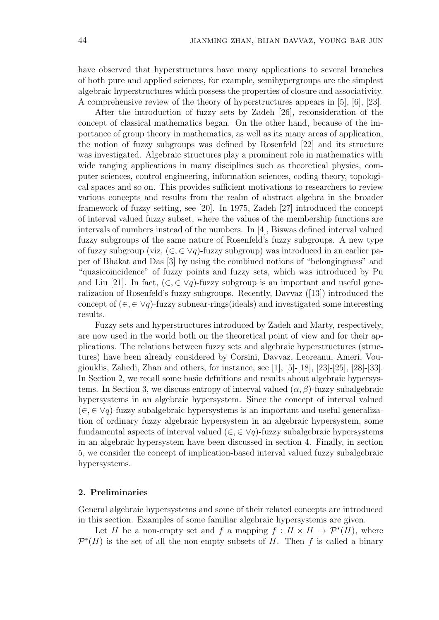have observed that hyperstructures have many applications to several branches of both pure and applied sciences, for example, semihypergroups are the simplest algebraic hyperstructures which possess the properties of closure and associativity. A comprehensive review of the theory of hyperstructures appears in [5], [6], [23].

After the introduction of fuzzy sets by Zadeh [26], reconsideration of the concept of classical mathematics began. On the other hand, because of the importance of group theory in mathematics, as well as its many areas of application, the notion of fuzzy subgroups was defined by Rosenfeld [22] and its structure was investigated. Algebraic structures play a prominent role in mathematics with wide ranging applications in many disciplines such as theoretical physics, computer sciences, control engineering, information sciences, coding theory, topological spaces and so on. This provides sufficient motivations to researchers to review various concepts and results from the realm of abstract algebra in the broader framework of fuzzy setting, see [20]. In 1975, Zadeh [27] introduced the concept of interval valued fuzzy subset, where the values of the membership functions are intervals of numbers instead of the numbers. In [4], Biswas defined interval valued fuzzy subgroups of the same nature of Rosenfeld's fuzzy subgroups. A new type of fuzzy subgroup (viz, (*∈,∈ ∨q*)-fuzzy subgroup) was introduced in an earlier paper of Bhakat and Das [3] by using the combined notions of "belongingness" and "quasicoincidence" of fuzzy points and fuzzy sets, which was introduced by Pu and Liu [21]. In fact,  $(\in, \in \vee q)$ -fuzzy subgroup is an important and useful generalization of Rosenfeld's fuzzy subgroups. Recently, Davvaz ([13]) introduced the concept of (*∈,∈ ∨q*)-fuzzy subnear-rings(ideals) and investigated some interesting results.

Fuzzy sets and hyperstructures introduced by Zadeh and Marty, respectively, are now used in the world both on the theoretical point of view and for their applications. The relations between fuzzy sets and algebraic hyperstructures (structures) have been already considered by Corsini, Davvaz, Leoreanu, Ameri, Vougiouklis, Zahedi, Zhan and others, for instance, see [1], [5]-[18], [23]-[25], [28]-[33]. In Section 2, we recall some basic defnitions and results about algebraic hypersystems. In Section 3, we discuss entropy of interval valued  $(\alpha, \beta)$ -fuzzy subalgebraic hypersystems in an algebraic hypersystem. Since the concept of interval valued (*∈,∈ ∨q*)-fuzzy subalgebraic hypersystems is an important and useful generalization of ordinary fuzzy algebraic hypersystem in an algebraic hypersystem, some fundamental aspects of interval valued  $(\in, \in \vee q)$ -fuzzy subalgebraic hypersystems in an algebraic hypersystem have been discussed in section 4. Finally, in section 5, we consider the concept of implication-based interval valued fuzzy subalgebraic hypersystems.

## **2. Preliminaries**

General algebraic hypersystems and some of their related concepts are introduced in this section. Examples of some familiar algebraic hypersystems are given.

Let *H* be a non-empty set and *f* a mapping  $f : H \times H \to \mathcal{P}^*(H)$ , where  $\mathcal{P}^*(H)$  is the set of all the non-empty subsets of *H*. Then *f* is called a binary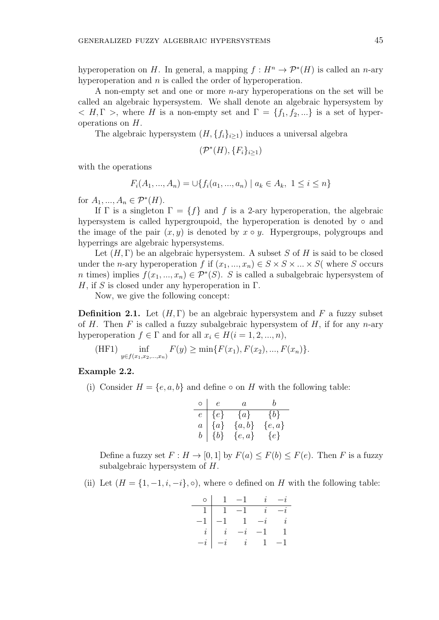hyperoperation on *H*. In general, a mapping  $f: H^n \to \mathcal{P}^*(H)$  is called an *n*-ary hyperoperation and *n* is called the order of hyperoperation.

A non-empty set and one or more *n*-ary hyperoperations on the set will be called an algebraic hypersystem. We shall denote an algebraic hypersystem by  $\langle H, \Gamma \rangle$ , where *H* is a non-empty set and  $\Gamma = \{f_1, f_2, ...\}$  is a set of hyperoperations on *H*.

The algebraic hypersystem  $(H, \{f_i\}_{i\geq 1})$  induces a universal algebra

$$
(\mathcal{P}^*(H), \{F_i\}_{i\geq 1})
$$

with the operations

$$
F_i(A_1, ..., A_n) = \bigcup \{ f_i(a_1, ..., a_n) \mid a_k \in A_k, \ 1 \le i \le n \}
$$

for  $A_1, ..., A_n \in \mathcal{P}^*(H)$ .

If  $\Gamma$  is a singleton  $\Gamma = \{f\}$  and *f* is a 2-ary hyperoperation, the algebraic hypersystem is called hypergroupoid, the hyperoperation is denoted by *◦* and the image of the pair  $(x, y)$  is denoted by  $x \circ y$ . Hypergroups, polygroups and hyperrings are algebraic hypersystems.

Let  $(H, \Gamma)$  be an algebraic hypersystem. A subset *S* of *H* is said to be closed under the *n*-ary hyperoperation *f* if  $(x_1, ..., x_n) \in S \times S \times ... \times S$  (where *S* occurs *n* times) implies  $f(x_1, ..., x_n) \in \mathcal{P}^*(S)$ . *S* is called a subalgebraic hypersystem of *H*, if *S* is closed under any hyperoperation in Γ.

Now, we give the following concept:

**Definition 2.1.** Let  $(H, \Gamma)$  be an algebraic hypersystem and F a fuzzy subset of *H*. Then *F* is called a fuzzy subalgebraic hypersystem of *H*, if for any *n*-ary hyperoperation  $f \in \Gamma$  and for all  $x_i \in H(i = 1, 2, ..., n)$ ,

(HF1) 
$$
\inf_{y \in f(x_1, x_2, ..., x_n)} F(y) \ge \min\{F(x_1), F(x_2), ..., F(x_n)\}.
$$

## **Example 2.2.**

(i) Consider  $H = \{e, a, b\}$  and define  $\circ$  on *H* with the following table:

$$
\begin{array}{c|cc} \circ & e & a & b \\ \hline e & \{e\} & \{a\} & \{b\} \\ a & \{a\} & \{a,b\} & \{e,a\} \\ b & \{b\} & \{e,a\} & \{e\} \end{array}
$$

Define a fuzzy set  $F: H \to [0, 1]$  by  $F(a) \leq F(b) \leq F(e)$ . Then F is a fuzzy subalgebraic hypersystem of *H*.

(ii) Let  $(H = \{1, -1, i, -i\}, \circ)$ , where  $\circ$  defined on *H* with the following table:

|  | $\circ$   1 $-1$                                          | $i - i$  |
|--|-----------------------------------------------------------|----------|
|  | $1 \mid 1 \mid -1 \mid i \mid -i$                         |          |
|  | $-1$ $1$ $-i$ $i$                                         |          |
|  |                                                           | $\sim$ 1 |
|  | $\begin{vmatrix} i & -i & -1 \\ -i & i & 1 \end{vmatrix}$ |          |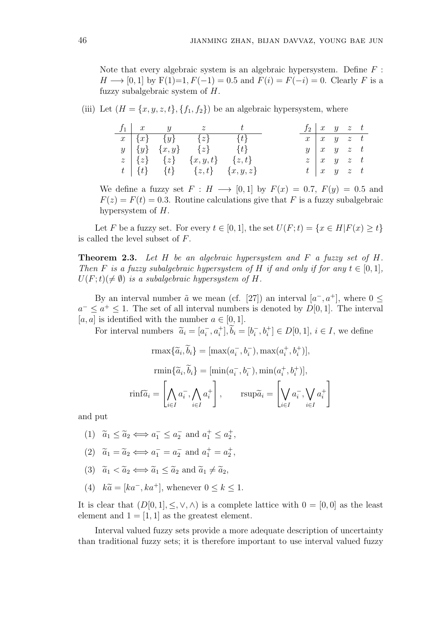Note that every algebraic system is an algebraic hypersystem. Define *F* : *H* → [0, 1] by  $F(1)=1, F(-1)=0.5$  and  $F(i) = F(-i) = 0$ . Clearly *F* is a fuzzy subalgebraic system of *H*.

# (iii) Let  $(H = \{x, y, z, t\}, \{f_1, f_2\})$  be an algebraic hypersystem, where

|  | $f_1 \quad x \quad y \quad z \quad t$           |  | $f_2$   x y z t |                                 |  |  |
|--|-------------------------------------------------|--|-----------------|---------------------------------|--|--|
|  | $x   \{x\}$ $\{y\}$ $\{z\}$ $\{t\}$             |  |                 | $x \mid x \mid y \mid z \mid t$ |  |  |
|  | $y   \{y\} \{x,y\} \{z\}$ {t}                   |  |                 | $y \mid x \mid y \mid z \mid t$ |  |  |
|  | $z \mid \{z\}$ $\{z\}$ $\{x, y, t\}$ $\{z, t\}$ |  |                 | $z \mid x \mid y \mid z \mid t$ |  |  |
|  | $t \mid \{t\}$ $\{t\}$ $\{z,t\}$ $\{x,y,z\}$    |  |                 | $t\, \,x\, $ y z t              |  |  |

We define a fuzzy set  $F: H \longrightarrow [0,1]$  by  $F(x) = 0.7$ ,  $F(y) = 0.5$  and  $F(z) = F(t) = 0.3$ . Routine calculations give that *F* is a fuzzy subalgebraic hypersystem of *H*.

Let *F* be a fuzzy set. For every  $t \in [0,1]$ , the set  $U(F;t) = \{x \in H | F(x) \ge t\}$ is called the level subset of *F*.

**Theorem 2.3.** *Let H be an algebraic hypersystem and F a fuzzy set of H. Then F is a fuzzy subalgebraic hypersystem of H if and only if for any*  $t \in [0, 1]$ *,*  $U(F; t) \neq \emptyset$  *is a subalgebraic hypersystem of H.* 

By an interval number  $\tilde{a}$  we mean (cf. [27]) an interval  $[a^-, a^+]$ , where  $0 \leq$  $a^{-} \leq a^{+} \leq 1$ . The set of all interval numbers is denoted by *D*[0*,* 1]. The interval  $[a, a]$  is identified with the number  $a \in [0, 1]$ .

For interval numbers  $\tilde{a}_i = [a_i^-, a_i^+], \tilde{b}_i = [b_i^-, b_i^+] \in D[0, 1], i \in I$ , we define

$$
\max\{\widetilde{a}_i,\widetilde{b}_i\} = [\max(a_i^-, b_i^-), \max(a_i^+, b_i^+)],
$$

$$
\text{rmin}\{\widetilde{a}_i, \widetilde{b}_i\} = [\text{min}(a_i^-, b_i^-), \text{min}(a_i^+, b_i^+)],
$$

$$
\text{rinf}\widetilde{a}_i = \left[\bigwedge_{i \in I} a_i^-, \bigwedge_{i \in I} a_i^+\right], \qquad \text{rsup}\widetilde{a}_i = \left[\bigvee_{i \in I} a_i^-, \bigvee_{i \in I} a_i^+\right]
$$

and put

- (1)  $\tilde{a}_1 \leq \tilde{a}_2 \Longleftrightarrow a_1^- \leq a_2^- \text{ and } a_1^+ \leq a_2^+,$
- (2)  $\tilde{a}_1 = \tilde{a}_2 \iff a_1^- = a_2^- \text{ and } a_1^+ = a_2^+,$
- (3)  $\tilde{a}_1 < \tilde{a}_2 \Longleftrightarrow \tilde{a}_1 < \tilde{a}_2$  and  $\tilde{a}_1 \neq \tilde{a}_2$ ,
- (4)  $k\tilde{a} = [ka^-, ka^+]$ , whenever  $0 \le k \le 1$ .

It is clear that  $(D[0,1], \leq, \vee, \wedge)$  is a complete lattice with  $0 = [0,0]$  as the least element and  $1 = \begin{bmatrix} 1 \\ 1 \end{bmatrix}$  as the greatest element.

Interval valued fuzzy sets provide a more adequate description of uncertainty than traditional fuzzy sets; it is therefore important to use interval valued fuzzy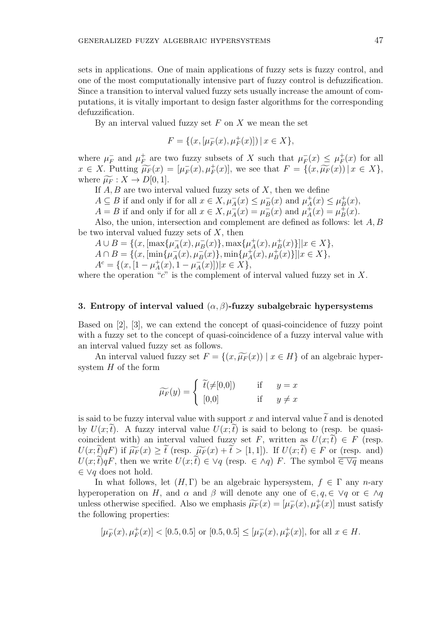sets in applications. One of main applications of fuzzy sets is fuzzy control, and one of the most computationally intensive part of fuzzy control is defuzzification. Since a transition to interval valued fuzzy sets usually increase the amount of computations, it is vitally important to design faster algorithms for the corresponding defuzzification.

By an interval valued fuzzy set *F* on *X* we mean the set

$$
F = \{(x, [\mu_F^-(x), \mu_F^+(x)]) \, | \, x \in X\},\
$$

where  $\mu_F^-$  and  $\mu_F^+$  $F_F$ <sup>+</sup> are two fuzzy subsets of *X* such that  $\mu_F^-(x) \leq \mu_F^+$  $F_F^+(x)$  for all  $x \in X$ . Putting  $\widetilde{\mu_F}(x) = [\mu_F^-(x), \mu_F^+(x)],$  we see that  $F = \{(x, \widetilde{\mu_F}(x)) \mid x \in X\},$ where  $\widetilde{\mu_F}: X \to D[0,1].$ 

If *A, B* are two interval valued fuzzy sets of *X*, then we define

*A*  $\subseteq$  *B* if and only if for all  $x \in X, \mu_A^-(x) \leq \mu_B^-(x)$  and  $\mu_A^+$  $A^{\dagger}(x) \leq \mu_B^+$  $B^{\dagger}(x),$ 

*A* = *B* if and only if for all  $x \in X$ ,  $\mu_A^-(x) = \mu_B^-(x)$  and  $\mu_A^+$  $\mu_A^+(x) = \mu_B^+$  $B^+(x)$ .

Also, the union, intersection and complement are defined as follows: let *A, B* be two interval valued fuzzy sets of *X*, then

 $A \cup B = \{(x, [\max\{\mu_A^-(x), \mu_B^-(x)\}, \max\{\mu_A^+\})$  $\{A^{\dagger}(x), \mu^{\dagger}(x)\}] |x \in X$ ,  $A \cap B = \{(x, \left[\min\{\mu_A^-(x), \mu_B^-(x)\}, \min\{\mu_A^+\}\right]$  $\{A^{\dagger}(x), \mu^{\dagger}(x)\}] |x \in X$ ,  $A^c = \{(x, [1 - \mu_A^+]$  $\mu_A^+(x)$ , 1 *−*  $\mu_A^-(x)$ ])| $x \in X$ },

where the operation "*c*" is the complement of interval valued fuzzy set in *X*.

## **3. Entropy of interval valued** (*α, β*)**-fuzzy subalgebraic hypersystems**

Based on [2], [3], we can extend the concept of quasi-coincidence of fuzzy point with a fuzzy set to the concept of quasi-coincidence of a fuzzy interval value with an interval valued fuzzy set as follows.

An interval valued fuzzy set  $F = \{(x, \widetilde{\mu_F}(x)) \mid x \in H\}$  of an algebraic hypersystem *H* of the form

$$
\widetilde{\mu_F}(y) = \begin{cases} \widetilde{t}(\neq [0,0]) & \text{if } y = x \\ [0,0] & \text{if } y \neq x \end{cases}
$$

is said to be fuzzy interval value with support x and interval value  $\tilde{t}$  and is denoted by  $U(x;t)$ . A fuzzy interval value  $U(x;t)$  is said to belong to (resp. be quasicoincident with) an interval valued fuzzy set *F*, written as  $U(x;\tilde{t}) \in F$  (resp.  $U(x;\tilde{t})qF$  if  $\widetilde{\mu_F}(x) \geq \tilde{t}$  (resp.  $\widetilde{\mu_F}(x) + \tilde{t} > [1,1]$ ). If  $U(x;\tilde{t}) \in F$  or (resp. and)  $U(x;\tilde{t})qF$ , then we write  $U(x;\tilde{t}) \in \forall q$  (resp.  $\in \land q$ ) *F*. The symbol  $\overline{\in \forall q}$  means *∈ ∨q* does not hold.

In what follows, let  $(H, \Gamma)$  be an algebraic hypersystem,  $f \in \Gamma$  any *n*-ary hyperoperation on *H*, and  $\alpha$  and  $\beta$  will denote any one of  $\in$ ,  $q$ ,  $\in$   $\lor q$  or  $\in \land q$ unless otherwise specified. Also we emphasis  $\widetilde{\mu}_F(x) = [\mu_F^-(x), \mu_F^+(x)]$  must satisfy the following properties:

$$
[\mu_F^-(x), \mu_F^+(x)] < [0.5, 0.5] \text{ or } [0.5, 0.5] \leq [\mu_F^-(x), \mu_F^+(x)], \text{ for all } x \in H.
$$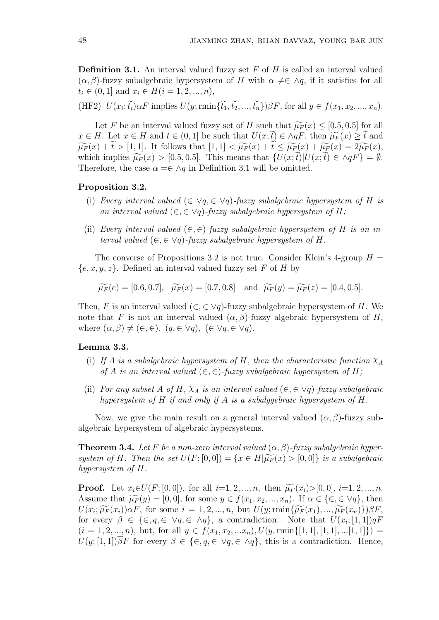**Definition 3.1.** An interval valued fuzzy set F of H is called an interval valued  $(\alpha, \beta)$ -fuzzy subalgebraic hypersystem of *H* with  $\alpha \neq \in \land q$ , if it satisfies for all  $t_i \in (0,1]$  and  $x_i \in H(i=1,2,...,n)$ ,

(HF2)  $U(x_i; t_i)\alpha F$  implies  $U(y; \min\{t_1, t_2, ..., t_n\})\beta F$ , for all  $y \in f(x_1, x_2, ..., x_n)$ .

Let *F* be an interval valued fuzzy set of *H* such that  $\widetilde{\mu_F}(x) \leq [0.5, 0.5]$  for all *x* ∈ *H*. Let *x* ∈ *H* and *t* ∈ (0, 1) be such that  $U(x;\tilde{t}) \in \wedge qF$ , then  $\widetilde{\mu_F}(x) \geq \tilde{t}$  and  $\widetilde{\mu_F}(x) + \widetilde{t} > [1,1].$  It follows that  $[1,1] < \widetilde{\mu_F}(x) + \widetilde{t} \leq \widetilde{\mu_F}(x) + \widetilde{\mu_F}(x) = 2\widetilde{\mu_F}(x),$ which implies  $\widetilde{\mu_F}(x) > [0.5, 0.5]$ . This means that  $\{U(x; t)|U(x; t) \in \Lambda qF\} = \emptyset$ . Therefore, the case  $\alpha = \in \land q$  in Definition 3.1 will be omitted.

#### **Proposition 3.2.**

- (i) *Every interval valued*  $(\in \forall q, \in \forall q)$ -fuzzy subalgebraic hypersystem of H is *an interval valued*  $(\in, \in \vee q)$ *-fuzzy subalgebraic hypersystem of H;*
- (ii) *Every interval valued*  $(\in, \in)$ -fuzzy subalgebraic hypersystem of *H* is an in*terval valued*  $(\in, \in \forall q)$ *-fuzzy subalgebraic hypersystem of H.*

The converse of Propositions 3.2 is not true. Consider Klein's 4-group  $H =$ *{e, x, y, z}*. Defined an interval valued fuzzy set *F* of *H* by

$$
\widetilde{\mu}_F(e) = [0.6, 0.7], \quad \widetilde{\mu}_F(x) = [0.7, 0.8] \quad \text{and} \quad \widetilde{\mu}_F(y) = \widetilde{\mu}_F(z) = [0.4, 0.5].
$$

Then, *F* is an interval valued  $(\in, \in \vee q)$ -fuzzy subalgebraic hypersystem of *H*. We note that *F* is not an interval valued  $(\alpha, \beta)$ -fuzzy algebraic hypersystem of *H*, where  $(\alpha, \beta) \neq (\in, \in)$ ,  $(q, \in \forall q)$ ,  $(\in \forall q, \in \forall q)$ .

## **Lemma 3.3.**

- (i) If *A* is a subalgebraic hypersystem of *H*, then the characteristic function  $\chi_A$ *of A is an interval valued*  $(\in, \in)$ *-fuzzy subalgebraic hypersystem of H*;
- (ii) *For any subset A of H*,  $X_A$  *is an interval valued* ( $\in$ ,  $\in$   $\vee$ *q*)*-fuzzy subalgebraic hypersystem of H if and only if A is a subalggebraic hypersystem of H.*

Now, we give the main result on a general interval valued  $(\alpha, \beta)$ -fuzzy subalgebraic hypersystem of algebraic hypersystems.

**Theorem 3.4.** Let F be a non-zero interval valued  $(\alpha, \beta)$ -fuzzy subalgebraic hyper*system of H.* Then the set  $U(F; [0, 0]) = \{x \in H | \widetilde{\mu_F}(x) > [0, 0] \}$  is a subalgebraic *hypersystem of H.*

**Proof.** Let  $x_i \in U(F; [0, 0])$ , for all  $i=1, 2, ..., n$ , then  $\widetilde{\mu_F}(x_i) > [0, 0], i=1, 2, ..., n$ . Assume that  $\widetilde{\mu_F}(y) = [0,0]$ , for some  $y \in f(x_1, x_2, ..., x_n)$ . If  $\alpha \in \{\in, \in \vee q\}$ , then  $U(x_i; \widetilde{\mu_F}(x_i)) \alpha F$ , for some  $i = 1, 2, ..., n$ , but  $U(y; \text{rmin}\{\widetilde{\mu_F}(x_1), ..., \widetilde{\mu_F}(x_n)\}) \beta F$ , for every  $\beta \in {\in}$ ,  $q, \in \gamma q, \in \gamma q$ , a contradiction. Note that  $U(x_i; [1, 1])qF$  $(i = 1, 2, ..., n)$ , but, for all  $y \in f(x_1, x_2, ... x_n)$ ,  $U(y, \text{rmin}\{[1, 1], [1, 1], ... [1, 1]\})$  $U(y; [1, 1])\overline{\beta}F$  for every  $\beta \in \{\in, q \in \vee q, \in \wedge q\}$ , this is a contradiction. Hence,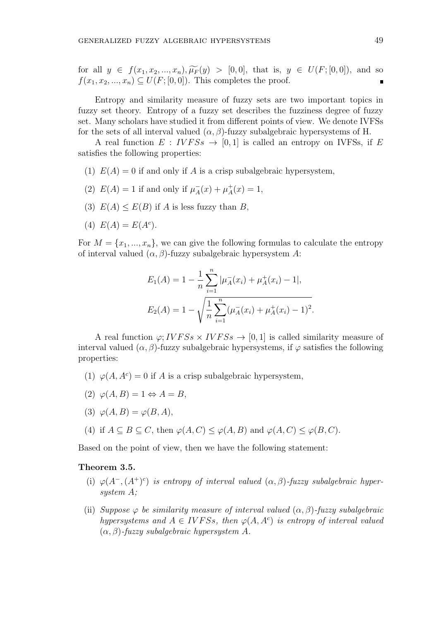for all  $y \in f(x_1, x_2, ..., x_n), \widetilde{\mu_F}(y) > [0, 0],$  that is,  $y \in U(F; [0, 0]),$  and so  $f(x_1, x_2, \ldots, x_n) \subseteq U(F; [0, 0])$ . This completes the proof.

Entropy and similarity measure of fuzzy sets are two important topics in fuzzy set theory. Entropy of a fuzzy set describes the fuzziness degree of fuzzy set. Many scholars have studied it from different points of view. We denote IVFSs for the sets of all interval valued  $(\alpha, \beta)$ -fuzzy subalgebraic hypersystems of H.

A real function  $E: IVFSs \rightarrow [0,1]$  is called an entropy on IVFSs, if *E* satisfies the following properties:

- (1)  $E(A) = 0$  if and only if A is a crisp subalgebraic hypersystem,
- (2)  $E(A) = 1$  if and only if  $\mu_A^-(x) + \mu_A^+$  $A^{\dagger}_A(x) = 1,$
- (3)  $E(A) \leq E(B)$  if *A* is less fuzzy than *B*,
- (4)  $E(A) = E(A^c)$ .

For  $M = \{x_1, ..., x_n\}$ , we can give the following formulas to calculate the entropy of interval valued (*α, β*)-fuzzy subalgebraic hypersystem *A*:

$$
E_1(A) = 1 - \frac{1}{n} \sum_{i=1}^n |\mu_A^-(x_i) + \mu_A^+(x_i) - 1|,
$$
  

$$
E_2(A) = 1 - \sqrt{\frac{1}{n} \sum_{i=1}^n (\mu_A^-(x_i) + \mu_A^+(x_i) - 1)^2}.
$$

A real function  $\varphi$ ; *IVFSs*  $\times$  *IVFSs*  $\rightarrow$  [0, 1] is called similarity measure of interval valued  $(\alpha, \beta)$ -fuzzy subalgebraic hypersystems, if  $\varphi$  satisfies the following properties:

- (1)  $\varphi(A, A^c) = 0$  if *A* is a crisp subalgebraic hypersystem,
- $(2) \varphi(A, B) = 1 \Leftrightarrow A = B$
- (3)  $\varphi(A, B) = \varphi(B, A)$ ,
- (4) if  $A \subseteq B \subseteq C$ , then  $\varphi(A, C) \leq \varphi(A, B)$  and  $\varphi(A, C) \leq \varphi(B, C)$ .

Based on the point of view, then we have the following statement:

# **Theorem 3.5.**

- (i)  $\varphi(A^{-}, (A^{+})^{c})$  *is entropy of interval valued*  $(\alpha, \beta)$ *-fuzzy subalgebraic hypersystem A;*
- (ii) *Suppose*  $\varphi$  *be similarity measure of interval valued*  $(\alpha, \beta)$ *-fuzzy subalgebraic hypersystems and*  $A \in IVFSS$ , then  $\varphi(A, A^c)$  *is entropy of interval valued* (*α, β*)*-fuzzy subalgebraic hypersystem A.*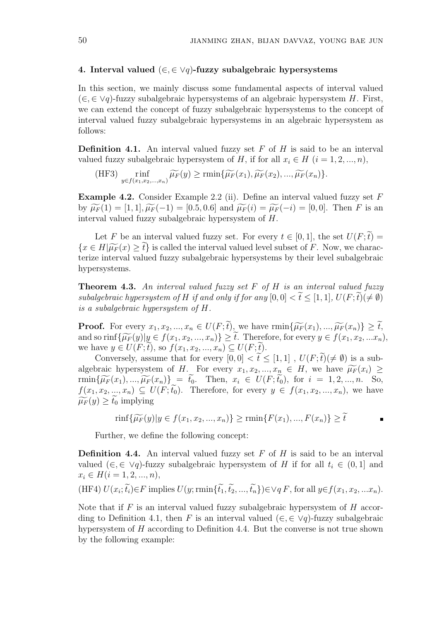## **4. Interval valued** (*∈, ∈ ∨q*)**-fuzzy subalgebraic hypersystems**

In this section, we mainly discuss some fundamental aspects of interval valued (*∈,∈ ∨q*)-fuzzy subalgebraic hypersystems of an algebraic hypersystem *H*. First, we can extend the concept of fuzzy subalgebraic hypersystems to the concept of interval valued fuzzy subalgebraic hypersystems in an algebraic hypersystem as follows:

**Definition 4.1.** An interval valued fuzzy set *F* of *H* is said to be an interval valued fuzzy subalgebraic hypersystem of *H*, if for all  $x_i \in H$  ( $i = 1, 2, ..., n$ ),

(HF3) 
$$
\underset{y \in f(x_1, x_2, \ldots, x_n)}{\text{rinf}} \widetilde{\mu_F}(y) \ge \text{rmin}\{\widetilde{\mu_F}(x_1), \widetilde{\mu_F}(x_2), \ldots, \widetilde{\mu_F}(x_n)\}.
$$

**Example 4.2.** Consider Example 2.2 (ii). Define an interval valued fuzzy set *F*  $W \widetilde{\mu_F}(1) = [1, 1], \widetilde{\mu_F}(-1) = [0.5, 0.6]$  and  $\widetilde{\mu_F}(i) = \widetilde{\mu_F}(-i) = [0, 0].$  Then *F* is an interval valued fuzzy subalgebraic hypersystem of *H*.

Let *F* be an interval valued fuzzy set. For every  $t \in [0,1]$ , the set  $U(F; \tilde{t}) =$  ${x \in H}$  $\widetilde{\mu_F}(x) > \widetilde{t}$  is called the interval valued level subset of *F*. Now, we characterize interval valued fuzzy subalgebraic hypersystems by their level subalgebraic hypersystems.

**Theorem 4.3.** *An interval valued fuzzy set F of H is an interval valued fuzzy subalgebraic hypersystem of H if and only if for any*  $[0,0] < \tilde{t} \leq [1,1]$ ,  $U(F;\tilde{t}) \neq \emptyset$ *is a subalgebraic hypersystem of H.*

**Proof.** For every  $x_1, x_2, ..., x_n \in U(F; \tilde{t})$ , we have  $\min\{\widetilde{\mu_F}(x_1), ..., \widetilde{\mu_F}(x_n)\} \geq \tilde{t}$ , and so rinf  $\{\widetilde{\mu_F}(y)|y \in f(x_1, x_2, ..., x_n)\} \geq \widetilde{t}$ . Therefore, for every  $y \in f(x_1, x_2, ... x_n)$ , we have *y* ∈ *U*(*F*; *t*), so  $f(x_1, x_2, ..., x_n)$  ⊆ *U*(*F*; *t*).

Conversely, assume that for every  $[0,0] < \tilde{t} \leq [1,1]$ ,  $U(F;\tilde{t})(\neq \emptyset)$  is a subalgebraic hypersystem of *H*. For every  $x_1, x_2, ..., x_n \in H$ , we have  $\widetilde{\mu_F}(x_i) \geq$  $\min{\{\widetilde{\mu_F}(x_1), ..., \widetilde{\mu_F}(x_n)\}} = \widetilde{t_0}.$  Then,  $x_i \in U(F; \widetilde{t_0}),$  for  $i = 1, 2, ..., n$ . So,  $f(x_1, x_2, \ldots, x_n) \subseteq U(F; \tilde{t}_0)$ . Therefore, for every  $y \in f(x_1, x_2, \ldots, x_n)$ , we have  $\widetilde{\mu_F}(y) \geq t_0$  implying

$$
\min\{\widetilde{\mu_F}(y)|y \in f(x_1, x_2, ..., x_n)\} \ge \min\{F(x_1), ..., F(x_n)\} \ge t
$$

Further, we define the following concept:

**Definition 4.4.** An interval valued fuzzy set *F* of *H* is said to be an interval valued ( $\in$ ,  $\in$   $\vee$ *q*)-fuzzy subalgebraic hypersystem of *H* if for all  $t_i$  ∈ (0, 1) and  $x_i \in H(i = 1, 2, ..., n),$ 

(HF4) 
$$
U(x_i; \tilde{t}_i) \in F
$$
 implies  $U(y; \min{\{\tilde{t}_1, \tilde{t}_2, ..., \tilde{t}_n\}}) \in \forall q F$ , for all  $y \in f(x_1, x_2, ... x_n)$ .

Note that if *F* is an interval valued fuzzy subalgebraic hypersystem of *H* according to Definition 4.1, then *F* is an interval valued  $(\in, \in \forall q)$ -fuzzy subalgebraic hypersystem of *H* according to Definition 4.4. But the converse is not true shown by the following example: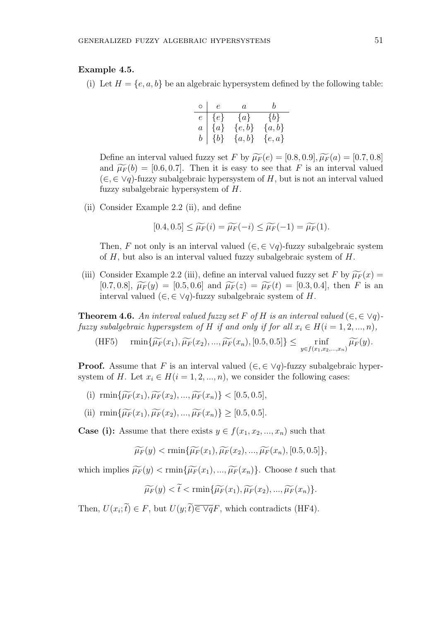## **Example 4.5.**

(i) Let  $H = \{e, a, b\}$  be an algebraic hypersystem defined by the following table:

| $\circ$        | $\epsilon$ | $\overline{a}$ | h         |
|----------------|------------|----------------|-----------|
| $\epsilon$     | $\{e\}$    | $\{a\}$        | $\{b\}$   |
| $\overline{a}$ | $\{a\}$    | $\{e,b\}$      | ${a,b}$   |
| $\it b$        | ${b}$      | $\{a,b\}$      | $\{e,a\}$ |

Define an interval valued fuzzy set *F* by  $\widetilde{\mu_F}(e) = [0.8, 0.9], \widetilde{\mu_F}(a) = [0.7, 0.8]$ and  $\widetilde{\mu_F}(b) = [0.6, 0.7]$ . Then it is easy to see that *F* is an interval valued (*∈, ∈ ∨q*)-fuzzy subalgebraic hypersystem of *H*, but is not an interval valued fuzzy subalgebraic hypersystem of *H*.

(ii) Consider Example 2.2 (ii), and define

$$
[0.4, 0.5] \leq \widetilde{\mu_F}(i) = \widetilde{\mu_F}(-i) \leq \widetilde{\mu_F}(-1) = \widetilde{\mu_F}(1).
$$

Then, *F* not only is an interval valued  $(\in, \in \vee q)$ -fuzzy subalgebraic system of *H*, but also is an interval valued fuzzy subalgebraic system of *H*.

(iii) Consider Example 2.2 (iii), define an interval valued fuzzy set F by  $\widetilde{\mu_F}(x)$  =  $[0.7, 0.8], \ \widetilde{\mu_F}(y) = [0.5, 0.6] \text{ and } \widetilde{\mu_F}(z) = \widetilde{\mu_F}(t) = [0.3, 0.4], \text{ then } F \text{ is an }$ interval valued (*∈,∈ ∨q*)-fuzzy subalgebraic system of *H*.

**Theorem 4.6.** An interval valued fuzzy set F of H is an interval valued  $(\in, \in \vee q)$ *fuzzy subalgebraic hypersystem of H if and only if for all*  $x_i \in H(i = 1, 2, ..., n)$ ,

(HF5) 
$$
\min{\{\widetilde{\mu_F}(x_1), \widetilde{\mu_F}(x_2), ..., \widetilde{\mu_F}(x_n), [0.5, 0.5]\}} \leq \min_{y \in f(x_1, x_2, ..., x_n)} \widetilde{\mu_F}(y).
$$

**Proof.** Assume that *F* is an interval valued  $(\in, \in \vee q)$ -fuzzy subalgebraic hypersystem of *H*. Let  $x_i \in H(i = 1, 2, \ldots, n)$ , we consider the following cases:

- (i)  $\min\{\widetilde{\mu_F}(x_1), \widetilde{\mu_F}(x_2), ..., \widetilde{\mu_F}(x_n)\}$  < [0.5, 0.5],
- (ii)  $\min{\{\widetilde{\mu_F}(x_1), \widetilde{\mu_F}(x_2), ..., \widetilde{\mu_F}(x_n)\}} \geq [0.5, 0.5].$

**Case (i):** Assume that there exists  $y \in f(x_1, x_2, ..., x_n)$  such that

$$
\widetilde{\mu_F}(y) < \min\{\widetilde{\mu_F}(x_1), \widetilde{\mu_F}(x_2), ..., \widetilde{\mu_F}(x_n), [0.5, 0.5]\},\
$$

which implies  $\widetilde{\mu_F}(y) < \min{\{\widetilde{\mu_F}(x_1), ..., \widetilde{\mu_F}(x_n)\}}$ . Choose *t* such that

$$
\widetilde{\mu_F}(y) < \widetilde{t} < \min\{\widetilde{\mu_F}(x_1), \widetilde{\mu_F}(x_2), \ldots, \widetilde{\mu_F}(x_n)\}.
$$

Then,  $U(x_i; t) \in F$ , but  $U(y; t) \in \nabla qF$ , which contradicts (HF4).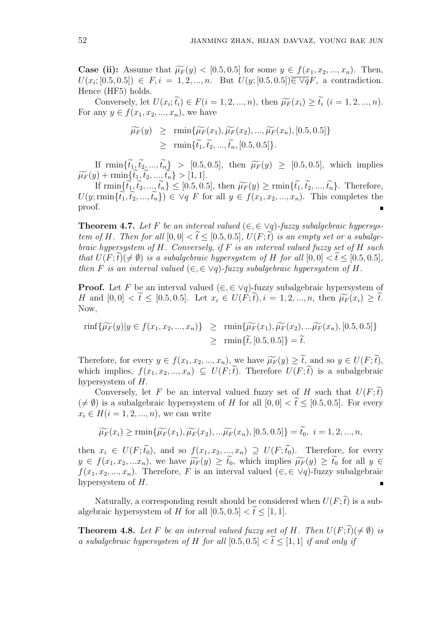**Case (ii):** Assume that  $\widetilde{\mu_F}(y) < [0.5, 0.5]$  for some  $y \in f(x_1, x_2, ..., x_n)$ . Then,  $U(x_i; [0.5, 0.5]) \in F, i = 1, 2, ..., n$ . But  $U(y; [0.5, 0.5]) \in \forall qF$ , a contradiction. Hence (HF5) holds.

Conversely, let  $U(x_i; t_i) \in F(i = 1, 2, ..., n)$ , then  $\widetilde{\mu_F}(x_i) \ge t_i$   $(i = 1, 2, ..., n)$ . For any  $y \in f(x_1, x_2, ..., x_n)$ , we have

$$
\widetilde{\mu_F}(y) \ge \min{\{\widetilde{\mu_F}(x_1), \widetilde{\mu_F}(x_2), ..., \widetilde{\mu_F}(x_n), [0.5, 0.5]\}}
$$
  
\n
$$
\ge \min{\{\widetilde{t_1}, \widetilde{t_2}, ..., \widetilde{t_n}, [0.5, 0.5]\}}.
$$

If  $\text{rmin}\{\tilde{t}_1, \tilde{t}_2, ..., \tilde{t}_n\}$  > [0.5, 0.5], then  $\widetilde{\mu_F}(y) \geq [0.5, 0.5]$ , which implies  $\widetilde{\mu_F}(y) + \min\{\widetilde{t_1}, \widetilde{t_2}, ..., \widetilde{t_n}\} > [1, 1].$ 

If  $\min\{\tilde{t}_1, \tilde{t}_2, ..., \tilde{t}_n\} \leq [0.5, 0.5],$  then  $\widetilde{\mu_F}(y) \geq \min\{\tilde{t}_1, \tilde{t}_2, ..., \tilde{t}_n\}$ . Therefore,  $U(y; \min{\{\tilde{t}_1, \tilde{t}_2, ..., \tilde{t}_n\}}) \in Vq$  *F* for all  $y \in f(x_1, x_2, ..., x_n)$ . This completes the proof.

**Theorem 4.7.** Let F be an interval valued  $(\in, \in \vee q)$ -fuzzy subalgebraic hypersys*tem of H. Then for all*  $[0,0] < \tilde{t} \leq [0.5,0.5]$ ,  $U(F;\tilde{t})$  *is an empty set or a subalgebraic hypersystem of H. Conversely, if F is an interval valued fuzzy set of H such that*  $U(F; \tilde{t}) \neq \emptyset$  *is a subalgebraic hypersystem of H for all*  $[0, 0] < \tilde{t} < [0.5, 0.5]$ *, then F is an interval valued* ( $\in$ ,  $\in$   $\vee$ *q*)*-fuzzy subalgebraic hypersystem of H.* 

**Proof.** Let *F* be an interval valued  $(\in, \in \vee q)$ -fuzzy subalgebraic hypersystem of H and  $[0,0] < t \leq [0.5, 0.5]$ . Let  $x_i \in U(F; t), i = 1, 2, ..., n$ , then  $\widetilde{\mu_F}(x_i) \geq t$ . Now,

$$
\text{rinf}\{\widetilde{\mu_F}(y)|y \in f(x_1, x_2, ..., x_n)\} \ge \text{rmin}\{\widetilde{\mu_F}(x_1), \widetilde{\mu_F}(x_2),...\widetilde{\mu_F}(x_n), [0.5, 0.5]\}
$$

$$
\ge \text{rmin}\{\widetilde{t}, [0.5, 0.5]\} = \widetilde{t}.
$$

Therefore, for every  $y \in f(x_1, x_2, ..., x_n)$ , we have  $\widetilde{\mu_F}(y) > \widetilde{t}$ , and so  $y \in U(F; \widetilde{t})$ , which implies,  $f(x_1, x_2, ..., x_n) \subseteq U(F; \tilde{t})$ . Therefore  $U(F; \tilde{t})$  is a subalgebraic hypersystem of *H*.

Conversely, let *F* be an interval valued fuzzy set of *H* such that  $U(F; t)$  $(\neq \emptyset)$  is a subalgebraic hypersystem of *H* for all  $[0,0] < \tilde{t} \leq [0.5,0.5]$ . For every  $x_i \in H(i = 1, 2, ..., n)$ , we can write

$$
\widetilde{\mu_F}(x_i) \ge \min\{\widetilde{\mu_F}(x_1), \widetilde{\mu_F}(x_2), \ldots, \widetilde{\mu_F}(x_n), [0.5, 0.5]\} = \widetilde{t_0}, \ i = 1, 2, \ldots, n,
$$

then  $x_i \in U(F; \tilde{t}_0)$ , and so  $f(x_1, x_2, ..., x_n) \supseteq U(F; \tilde{t}_0)$ . Therefore, for every  $y \in f(x_1, x_2, ... x_n)$ , we have  $\widetilde{\mu_F}(y) \geq t_0$ , which implies  $\widetilde{\mu_F}(y) \geq t_0$  for all  $y \in$ *f*(*x*<sub>1</sub>*, x*<sub>2</sub>*, ..., x<sub>n</sub>*). Therefore, *F* is an interval valued ( $\in$ ,  $\in$   $\vee$ *q*)-fuzzy subalgebraic hypersystem of *H*.

Naturally, a corresponding result should be considered when  $U(F; \tilde{t})$  is a subalgebraic hypersystem of *H* for all  $[0.5, 0.5] < \tilde{t} < [1, 1]$ .

**Theorem 4.8.** Let F be an interval valued fuzzy set of H. Then  $U(F; \tilde{t}) \neq \emptyset$  is *a subalgebraic hypersystem of H for all*  $[0.5, 0.5] < \tilde{t} < 1.1$  *if and only if*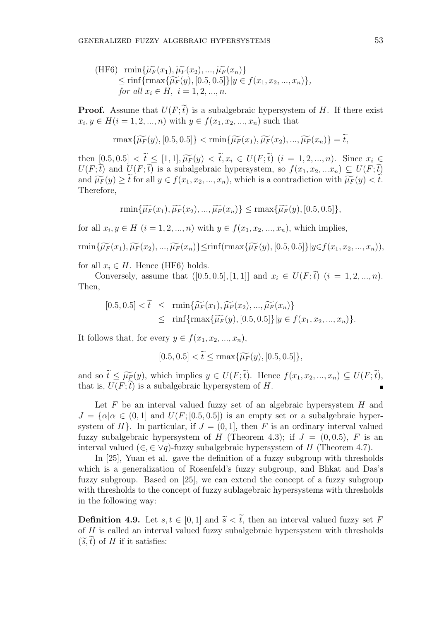(HF6) 
$$
\min{\{\widetilde{\mu_F}(x_1), \widetilde{\mu_F}(x_2), ..., \widetilde{\mu_F}(x_n)\}}
$$
  
\n $\leq \min{\{\max{\{\widetilde{\mu_F}(y), [0.5, 0.5]\}|y \in f(x_1, x_2, ..., x_n)\}},\}$   
\nfor all  $x_i \in H$ ,  $i = 1, 2, ..., n$ .

**Proof.** Assume that  $U(F; \tilde{t})$  is a subalgebraic hypersystem of *H*. If there exist  $x_i, y \in H(i = 1, 2, ..., n)$  with  $y \in f(x_1, x_2, ..., x_n)$  such that

$$
\max\{\widetilde{\mu_F}(y), [0.5, 0.5]\} < \min\{\widetilde{\mu_F}(x_1), \widetilde{\mu_F}(x_2), ..., \widetilde{\mu_F}(x_n)\} = \widetilde{t},
$$

then  $[0.5, 0.5] < t \leq [1, 1], \widetilde{\mu_F}(y) < t, x_i \in U(F; t)$   $(i = 1, 2, ..., n)$ . Since  $x_i \in U(F; \widetilde{\Omega})$  $U(F; t)$  and  $U(F; t)$  is a subalgebraic hypersystem, so  $f(x_1, x_2, ... x_n) \subseteq U(F; t)$ and  $\widetilde{\mu_F}(y) \geq \widetilde{t}$  for all  $y \in f(x_1, x_2, ..., x_n)$ , which is a contradiction with  $\widetilde{\mu_F}(y) < \widetilde{t}$ . Therefore,

$$
\min\{\widetilde{\mu_F}(x_1), \widetilde{\mu_F}(x_2), ..., \widetilde{\mu_F}(x_n)\} \le \max\{\widetilde{\mu_F}(y), [0.5, 0.5]\},\
$$

for all  $x_i, y \in H$  (*i* = 1, 2, ..., *n*) with  $y \in f(x_1, x_2, ..., x_n)$ , which implies,

$$
\min\{\widetilde{\mu_F}(x_1),\widetilde{\mu_F}(x_2),...,\widetilde{\mu_F}(x_n)\}\leq \inf(\max\{\widetilde{\mu_F}(y),[0.5,0.5]\}\|y\in f(x_1,x_2,...,x_n)),
$$

for all  $x_i \in H$ . Hence (HF6) holds.

Conversely, assume that  $([0.5, 0.5], [1, 1]]$  and  $x_i \in U(F; \tilde{t})$   $(i = 1, 2, ..., n)$ . Then,

$$
[0.5, 0.5] < \tilde{t} \le \min{\{\widetilde{\mu_F}(x_1), \widetilde{\mu_F}(x_2), ..., \widetilde{\mu_F}(x_n)\}} \le \min{\{\max{\{\widetilde{\mu_F}(y), [0.5, 0.5]\}} | y \in f(x_1, x_2, ..., x_n) \}}.
$$

It follows that, for every  $y \in f(x_1, x_2, \ldots, x_n)$ ,

$$
[0.5, 0.5] < \widetilde{t} \le \max\{\widetilde{\mu_F}(y), [0.5, 0.5]\},
$$

and so  $\widetilde{t} \leq \widetilde{\mu_{F}(y)}$ , which implies  $y \in U(F; \widetilde{t})$ . Hence  $f(x_1, x_2, ..., x_n) \subseteq U(F; \widetilde{t})$ , that is,  $U(F; \tilde{t})$  is a subalgebraic hypersystem of *H*.

Let *F* be an interval valued fuzzy set of an algebraic hypersystem *H* and  $J = {\alpha | \alpha \in (0,1]}$  and  $U(F; [0.5, 0.5])$  is an empty set or a subalgebraic hypersystem of  $H$ <sup>}</sup>. In particular, if  $J = (0, 1]$ , then  $F$  is an ordinary interval valued fuzzy subalgebraic hypersystem of *H* (Theorem 4.3); if  $J = (0, 0.5)$ , *F* is an interval valued ( $\in$ ,  $\in$   $\vee$ *q*)-fuzzy subalgebraic hypersystem of *H* (Theorem 4.7).

In [25], Yuan et al. gave the definition of a fuzzy subgroup with thresholds which is a generalization of Rosenfeld's fuzzy subgroup, and Bhkat and Das's fuzzy subgroup. Based on [25], we can extend the concept of a fuzzy subgroup with thresholds to the concept of fuzzy sublagebraic hypersystems with thresholds in the following way:

**Definition 4.9.** Let  $s, t \in [0, 1]$  and  $\tilde{s} < \tilde{t}$ , then an interval valued fuzzy set F of *H* is called an interval valued fuzzy subalgebraic hypersystem with thresholds  $(\widetilde{s}, t)$  of *H* if it satisfies: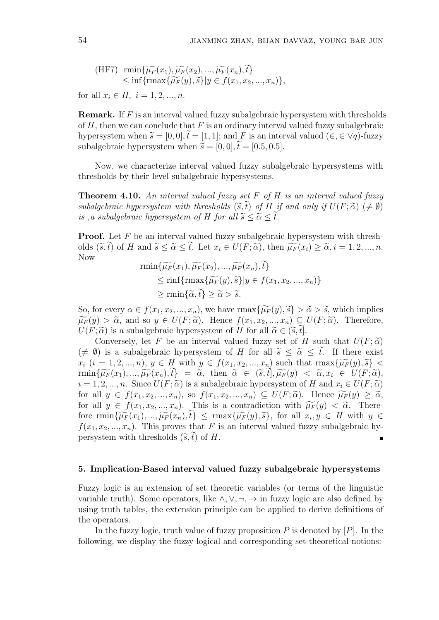(HF7) 
$$
\min{\{\widetilde{\mu_F}(x_1), \widetilde{\mu_F}(x_2), ..., \widetilde{\mu_F}(x_n), \widetilde{t}\}}
$$
  
\n $\leq \inf{\{\max{\widetilde{\mu_F}(y), \widetilde{s}\}} | y \in f(x_1, x_2, ..., x_n)\},$ 

for all  $x_i \in H$ ,  $i = 1, 2, ..., n$ .

**Remark.** If *F* is an interval valued fuzzy subalgebraic hypersystem with thresholds of *H*, then we can conclude that *F* is an ordinary interval valued fuzzy subalgebraic hypersystem when  $\tilde{s} = [0, 0], \tilde{t} = [1, 1]$ ; and F is an interval valued ( $\in$ ,  $\in$   $\vee$ *q*)-fuzzy subalgebraic hypersystem when  $\tilde{s} = [0, 0], \tilde{t} = [0.5, 0.5].$ 

Now, we characterize interval valued fuzzy subalgebraic hypersystems with thresholds by their level subalgebraic hypersystems.

**Theorem 4.10.** *An interval valued fuzzy set F of H is an interval valued fuzzy subalgebraic hypersystem with thresholds*  $(\tilde{s}, \tilde{t})$  *of H if and only if*  $U(F; \tilde{\alpha}) \neq \emptyset$ *is ,a subalgebraic hypersystem of H for all*  $\widetilde{s} < \widetilde{\alpha} < t$ *.* 

**Proof.** Let F be an interval valued fuzzy subalgebraic hypersystem with thresholds  $(\tilde{s}, \tilde{t})$  of H and  $\tilde{s} \leq \tilde{\alpha} \leq \tilde{t}$ . Let  $x_i \in U(F; \tilde{\alpha})$ , then  $\widetilde{\mu_F}(x_i) \geq \tilde{\alpha}, i = 1, 2, ..., n$ . Now

$$
\begin{aligned} \min\{\widetilde{\mu_F}(x_1), \widetilde{\mu_F}(x_2), ..., \widetilde{\mu_F}(x_n), t\} \\ &\leq \text{rinf}\{\text{rmax}\{\widetilde{\mu_F}(y), \widetilde{s}\} | y \in f(x_1, x_2, ..., x_n)\} \\ &\geq \text{rmin}\{\widetilde{\alpha}, \widetilde{t}\} \geq \widetilde{\alpha} > \widetilde{s}. \end{aligned}
$$

So, for every  $\alpha \in f(x_1, x_2, ..., x_n)$ , we have  $\max{\{\widetilde{\mu_F}(y), \widetilde{s}\}} > \widetilde{\alpha} > \widetilde{s}$ , which implies  $\widetilde{\mu}_F(y) > \widetilde{\alpha}$ , and so  $y \in U(F; \widetilde{\alpha})$ . Hence  $f(x_1, x_2, ..., x_n) \subseteq U(F; \widetilde{\alpha})$ . Therefore,  $U(F; \tilde{\alpha})$  is a subalgebraic hypersystem of *H* for all  $\tilde{\alpha} \in (\tilde{s}, t]$ .

Conversely, let *F* be an interval valued fuzzy set of *H* such that  $U(F; \tilde{\alpha})$  $(\neq \emptyset)$  is a subalgebraic hypersystem of *H* for all  $\tilde{s} \leq \tilde{\alpha} \leq \tilde{t}$ . If there exist  $x_i$   $(i = 1, 2, ..., n), y \in H$  with  $y \in f(x_1, x_2, ..., x_n)$  such that  $\max{\{\widetilde{\mu_F}(y), \widetilde{s}\}}$  $\min\{\widetilde{\mu_F}(x_1),...,\widetilde{\mu_F}(x_n),t\} = \widetilde{\alpha}, \text{ then } \widetilde{\alpha} \in (\widetilde{s},\widetilde{t}],\widetilde{\mu_F}(y) < \widetilde{\alpha},x_i \in U(F;\widetilde{\alpha}),$  $i = 1, 2, \ldots, n$ . Since  $U(F; \tilde{\alpha})$  is a subalgebraic hypersystem of *H* and  $x_i \in U(F; \tilde{\alpha})$ for all  $y \in f(x_1, x_2, ..., x_n)$ , so  $f(x_1, x_2, ..., x_n) \subseteq U(F; \tilde{\alpha})$ . Hence  $\widetilde{\mu_F}(y) \geq \tilde{\alpha}$ , for all  $y \in f(x_1, x_2, ..., x_n)$ . This is a contradiction with  $\widetilde{\mu}_F(y) < \widetilde{\alpha}$ . Therefore  $\text{rmin}\{\widetilde{\mu_F}(x_1),...,\widetilde{\mu_F}(x_n),t\} \leq \text{rmax}\{\widetilde{\mu_F}(y),\widetilde{s}\},$  for all  $x_i, y \in H$  with  $y \in$  $f(x_1, x_2, \ldots, x_n)$ . This proves that *F* is an interval valued fuzzy subalgebraic hypersystem with thresholds  $(\tilde{s}, t)$  of *H*.  $\blacksquare$ 

#### **5. Implication-Based interval valued fuzzy subalgebraic hypersystems**

Fuzzy logic is an extension of set theoretic variables (or terms of the linguistic variable truth). Some operators, like  $\land$ ,  $\lor$ ,  $\neg$ ,  $\rightarrow$  in fuzzy logic are also defined by using truth tables, the extension principle can be applied to derive definitions of the operators.

In the fuzzy logic, truth value of fuzzy proposition *P* is denoted by [*P*]. In the following, we display the fuzzy logical and corresponding set-theoretical notions: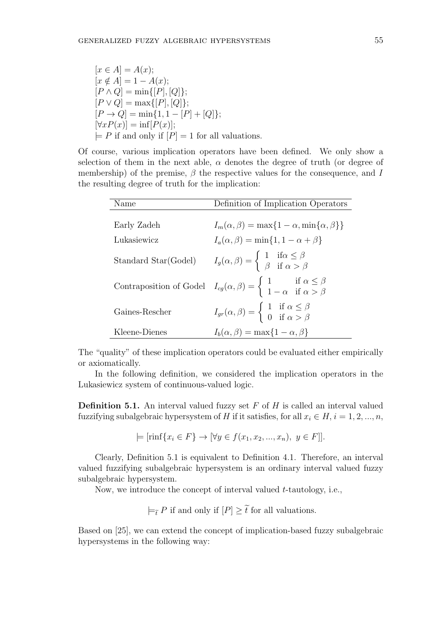$$
[x \in A] = A(x);
$$
  
\n
$$
[x \notin A] = 1 - A(x);
$$
  
\n
$$
[P \wedge Q] = \min\{[P], [Q]\};
$$
  
\n
$$
[P \vee Q] = \max\{[P], [Q]\};
$$
  
\n
$$
[P \rightarrow Q] = \min\{1, 1 - [P] + [Q]\};
$$
  
\n
$$
[\forall x P(x)] = \inf[P(x)];
$$
  
\n
$$
\models P \text{ if and only if } [P] = 1 \text{ for all valuations.}
$$

Of course, various implication operators have been defined. We only show a selection of them in the next able,  $\alpha$  denotes the degree of truth (or degree of membership) of the premise, *β* the respective values for the consequence, and *I* the resulting degree of truth for the implication:

| Name                 | Definition of Implication Operators                                                                                                                    |  |  |
|----------------------|--------------------------------------------------------------------------------------------------------------------------------------------------------|--|--|
|                      |                                                                                                                                                        |  |  |
| Early Zadeh          | $I_m(\alpha, \beta) = \max\{1 - \alpha, \min\{\alpha, \beta\}\}\$                                                                                      |  |  |
| Lukasiewicz          | $I_a(\alpha, \beta) = \min\{1, 1 - \alpha + \beta\}$                                                                                                   |  |  |
| Standard Star(Godel) | $I_g(\alpha, \beta) = \begin{cases} 1 & \text{if } \alpha \leq \beta \\ \beta & \text{if } \alpha > \beta \end{cases}$                                 |  |  |
|                      | Contraposition of Godel $I_{cg}(\alpha, \beta) = \begin{cases} 1 & \text{if } \alpha \leq \beta \\ 1 - \alpha & \text{if } \alpha > \beta \end{cases}$ |  |  |
| Gaines-Rescher       | $I_{gr}(\alpha, \beta) = \begin{cases} 1 & \text{if } \alpha \leq \beta \\ 0 & \text{if } \alpha > \beta \end{cases}$                                  |  |  |
| Kleene-Dienes        | $I_b(\alpha, \beta) = \max\{1 - \alpha, \beta\}$                                                                                                       |  |  |

The "quality" of these implication operators could be evaluated either empirically or axiomatically.

In the following definition, we considered the implication operators in the Lukasiewicz system of continuous-valued logic.

**Definition 5.1.** An interval valued fuzzy set *F* of *H* is called an interval valued fuzzifying subalgebraic hypersystem of *H* if it satisfies, for all  $x_i \in H$ ,  $i = 1, 2, ..., n$ ,

$$
\models [\text{rinf}\{x_i \in F\} \to [\forall y \in f(x_1, x_2, ..., x_n), y \in F]].
$$

Clearly, Definition 5.1 is equivalent to Definition 4.1. Therefore, an interval valued fuzzifying subalgebraic hypersystem is an ordinary interval valued fuzzy subalgebraic hypersystem.

Now, we introduce the concept of interval valued *t*-tautology, i.e.,

 $\models$ <sup>*γ*</sup> *P* if and only if  $[P]$   $≥$   $t̃$  for all valuations.

Based on [25], we can extend the concept of implication-based fuzzy subalgebraic hypersystems in the following way: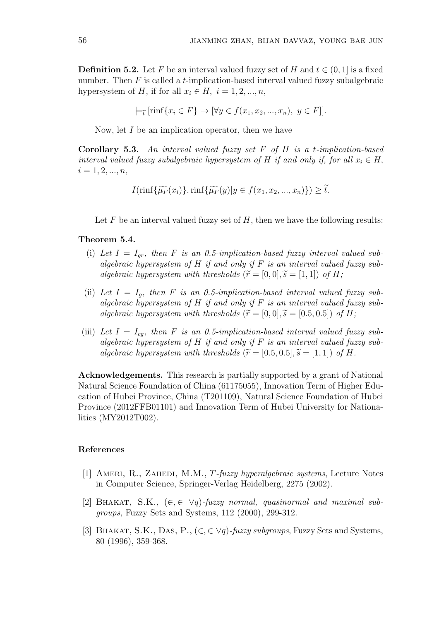**Definition 5.2.** Let F be an interval valued fuzzy set of H and  $t \in (0, 1]$  is a fixed number. Then *F* is called a *t*-implication-based interval valued fuzzy subalgebraic hypersystem of *H*, if for all  $x_i \in H$ ,  $i = 1, 2, ..., n$ ,

 $\models$ <sub>*t*</sub></sup> [rinf{*x<sub>i</sub>*  $\in$  *F*}  $\rightarrow$  [ $\forall y \in f(x_1, x_2, ..., x_n), y \in F$ ]].

Now, let *I* be an implication operator, then we have

**Corollary 5.3.** *An interval valued fuzzy set F of H is a t-implication-based interval valued fuzzy subalgebraic hypersystem of H if and only if, for all*  $x_i \in H$ ,  $i = 1, 2, ..., n$ 

$$
I(\min\{\widetilde{\mu_F}(x_i)\}, \min\{\widetilde{\mu_F}(y)|y \in f(x_1, x_2, ..., x_n)\}) \ge \widetilde{t}.
$$

Let *F* be an interval valued fuzzy set of *H*, then we have the following results:

## **Theorem 5.4.**

- (i) Let  $I = I_{qr}$ , then F is an 0.5-implication-based fuzzy interval valued sub*algebraic hypersystem of H if and only if F is an interval valued fuzzy subalgebraic hypersystem with thresholds*  $(\widetilde{r} = [0, 0], \widetilde{s} = [1, 1])$  of H;
- (ii) Let  $I = I_q$ , then F is an 0.5-implication-based interval valued fuzzy sub*algebraic hypersystem of H if and only if F is an interval valued fuzzy subalgebraic hypersystem with thresholds*  $(\widetilde{r} = [0, 0], \widetilde{s} = [0.5, 0.5])$  of H;
- (iii) Let  $I = I_{cg}$ , then F is an 0.5-implication-based interval valued fuzzy sub*algebraic hypersystem of H if and only if F is an interval valued fuzzy subalgebraic hypersystem with thresholds*  $(\widetilde{r} = [0.5, 0.5], \widetilde{s} = [1, 1])$  of H.

**Acknowledgements.** This research is partially supported by a grant of National Natural Science Foundation of China (61175055), Innovation Term of Higher Education of Hubei Province, China (T201109), Natural Science Foundation of Hubei Province (2012FFB01101) and Innovation Term of Hubei University for Nationalities (MY2012T002).

## **References**

- [1] Ameri, R., Zahedi, M.M., *T-fuzzy hyperalgebraic systems*, Lecture Notes in Computer Science, Springer-Verlag Heidelberg, 2275 (2002).
- [2] Bhakat, S.K., (*∈,∈ ∨q*)*-fuzzy normal, quasinormal and maximal subgroups,* Fuzzy Sets and Systems, 112 (2000), 299-312.
- [3] Bhakat, S.K., Das, P., (*∈,∈ ∨q*)*-fuzzy subgroups*, Fuzzy Sets and Systems, 80 (1996), 359-368.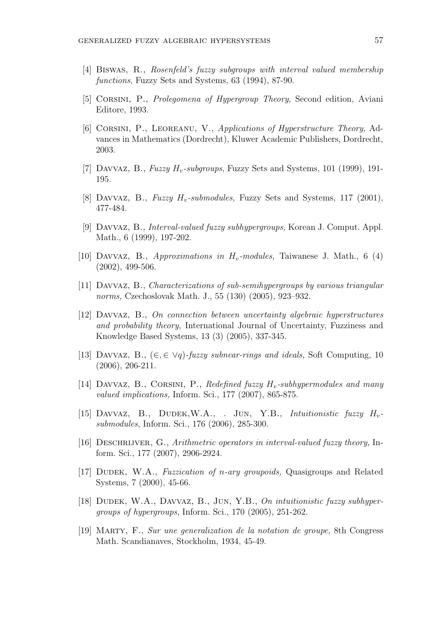- [4] Biswas, R., *Rosenfeld's fuzzy subgroups with interval valued membership functions*, Fuzzy Sets and Systems, 63 (1994), 87-90.
- [5] Corsini, P., *Prolegomena of Hypergroup Theory*, Second edition, Aviani Editore, 1993.
- [6] Corsini, P., Leoreanu, V., *Applications of Hyperstructure Theory*, Advances in Mathematics (Dordrecht), Kluwer Academic Publishers, Dordrecht, 2003.
- [7] Davvaz, B., *Fuzzy Hv-subgroups*, Fuzzy Sets and Systems, 101 (1999), 191- 195.
- [8] Davvaz, B., *Fuzzy Hv-submodules,* Fuzzy Sets and Systems, 117 (2001), 477-484.
- [9] Davvaz, B., *Interval-valued fuzzy subhypergroups,* Korean J. Comput. Appl. Math., 6 (1999), 197-202.
- [10] Davvaz, B., *Approximations in Hv-modules,* Taiwanese J. Math., 6 (4) (2002), 499-506.
- [11] Davvaz, B., *Characterizations of sub-semihypergroups by various triangular norms,* Czechoslovak Math. J., 55 (130) (2005), 923–932.
- [12] Davvaz, B., *On connection between uncertainty algebraic hyperstructures and probability theory,* International Journal of Uncertainty, Fuzziness and Knowledge Based Systems, 13 (3) (2005), 337-345.
- [13] Davvaz, B., (*∈, ∈ ∨q*)*-fuzzy subnear-rings and ideals,* Soft Computing, 10 (2006), 206-211.
- [14] Davvaz, B., Corsini, P., *Redefined fuzzy Hv-subhypermodules and many valued implications,* Inform. Sci., 177 (2007), 865-875.
- [15] Davvaz, B., Dudek,W.A., . Jun, Y.B., *Intuitionistic fuzzy Hvsubmodules*, Inform. Sci., 176 (2006), 285-300.
- [16] Deschrijver, G., *Arithmetric operators in interval-valued fuzzy theory,* Inform. Sci., 177 (2007), 2906-2924.
- [17] Dudek, W.A., *Fuzzication of n-ary groupoids,* Quasigroups and Related Systems, 7 (2000), 45-66.
- [18] Dudek, W.A., Davvaz, B., Jun, Y.B., *On intuitionistic fuzzy subhypergroups of hypergroups*, Inform. Sci., 170 (2005), 251-262.
- [19] Marty, F., *Sur une generalization de la notation de groupe,* 8th Congress Math. Scandianaves, Stockholm, 1934, 45-49.